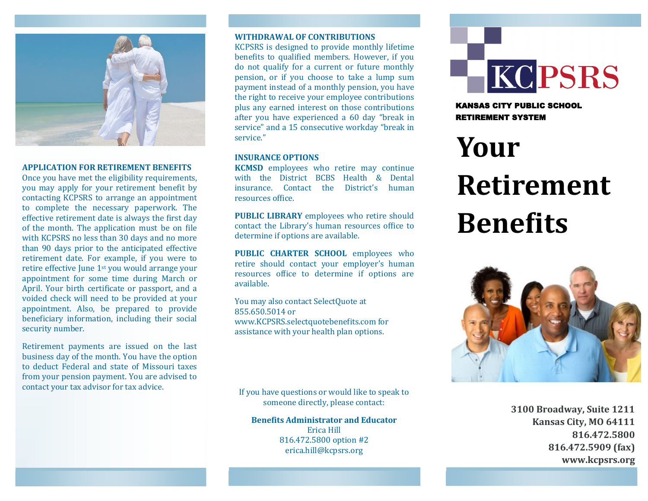

## **APPLICATION FOR RETIREMENT BENEFITS**

Once you have met the eligibility requirements, you may apply for your retirement benefit by contacting KCPSRS to arrange an appointment to complete the necessary paperwork. The effective retirement date is always the first day of the month. The application must be on file with KCPSRS no less than 30 days and no more than 90 days prior to the anticipated effective retirement date. For example, if you were to retire effective June 1st you would arrange your appointment for some time during March or April. Your birth certificate or passport, and a voided check will need to be provided at your appointment. Also, be prepared to provide beneficiary information, including their social security number.

Retirement payments are issued on the last business day of the month. You have the option to deduct Federal and state of Missouri taxes from your pension payment. You are advised to contact your tax advisor for tax advice.

# **WITHDRAWAL OF CONTRIBUTIONS**

KCPSRS is designed to provide monthly lifetime benefits to qualified members. However, if you do not qualify for a current or future monthly pension, or if you choose to take a lump sum payment instead of a monthly pension, you have the right to receive your employee contributions plus any earned interest on those contributions after you have experienced a 60 day "break in service" and a 15 consecutive workday "break in service."

### **INSURANCE OPTIONS**

**KCMSD** employees who retire may continue with the District BCBS Health & Dental insurance. Contact the District's human resources office.

**PUBLIC LIBRARY** employees who retire should contact the Library's human resources office to determine if options are available.

**PUBLIC CHARTER SCHOOL** employees who retire should contact your employer's human resources office to determine if options are available.

You may also contact SelectQuote at 855.650.5014 or www.KCPSRS.selectquotebenefits.com for assistance with your health plan options.

If you have questions or would like to speak to someone directly, please contact:

**Benefits Administrator and Educator** Erica Hill 816.472.5800 option #2 erica.hill@kcpsrs.org



KANSAS CITY PUBLIC SCHOOL RETIREMENT SYSTEM

# **Your Retirement Benefits**



**3100 Broadway, Suite 1211 Kansas City, MO 64111 816.472.5800 816.472.5909 (fax) www.kcpsrs.org**